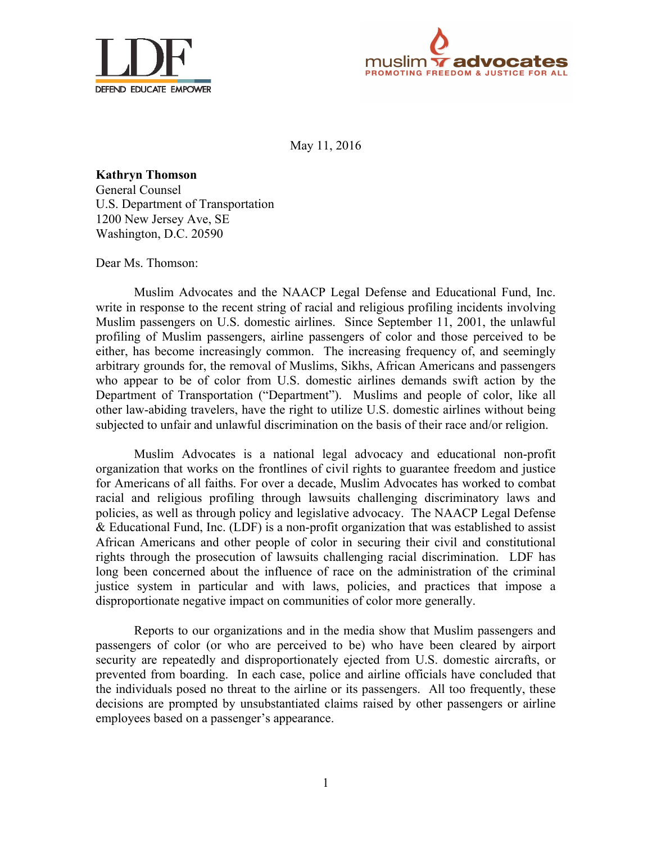



May 11, 2016

**Kathryn Thomson** General Counsel U.S. Department of Transportation 1200 New Jersey Ave, SE Washington, D.C. 20590

Dear Ms. Thomson:

Muslim Advocates and the NAACP Legal Defense and Educational Fund, Inc. write in response to the recent string of racial and religious profiling incidents involving Muslim passengers on U.S. domestic airlines. Since September 11, 2001, the unlawful profiling of Muslim passengers, airline passengers of color and those perceived to be either, has become increasingly common. The increasing frequency of, and seemingly arbitrary grounds for, the removal of Muslims, Sikhs, African Americans and passengers who appear to be of color from U.S. domestic airlines demands swift action by the Department of Transportation ("Department"). Muslims and people of color, like all other law-abiding travelers, have the right to utilize U.S. domestic airlines without being subjected to unfair and unlawful discrimination on the basis of their race and/or religion.

Muslim Advocates is a national legal advocacy and educational non-profit organization that works on the frontlines of civil rights to guarantee freedom and justice for Americans of all faiths. For over a decade, Muslim Advocates has worked to combat racial and religious profiling through lawsuits challenging discriminatory laws and policies, as well as through policy and legislative advocacy. The NAACP Legal Defense & Educational Fund, Inc. (LDF) is a non-profit organization that was established to assist African Americans and other people of color in securing their civil and constitutional rights through the prosecution of lawsuits challenging racial discrimination. LDF has long been concerned about the influence of race on the administration of the criminal justice system in particular and with laws, policies, and practices that impose a disproportionate negative impact on communities of color more generally.

Reports to our organizations and in the media show that Muslim passengers and passengers of color (or who are perceived to be) who have been cleared by airport security are repeatedly and disproportionately ejected from U.S. domestic aircrafts, or prevented from boarding. In each case, police and airline officials have concluded that the individuals posed no threat to the airline or its passengers. All too frequently, these decisions are prompted by unsubstantiated claims raised by other passengers or airline employees based on a passenger's appearance.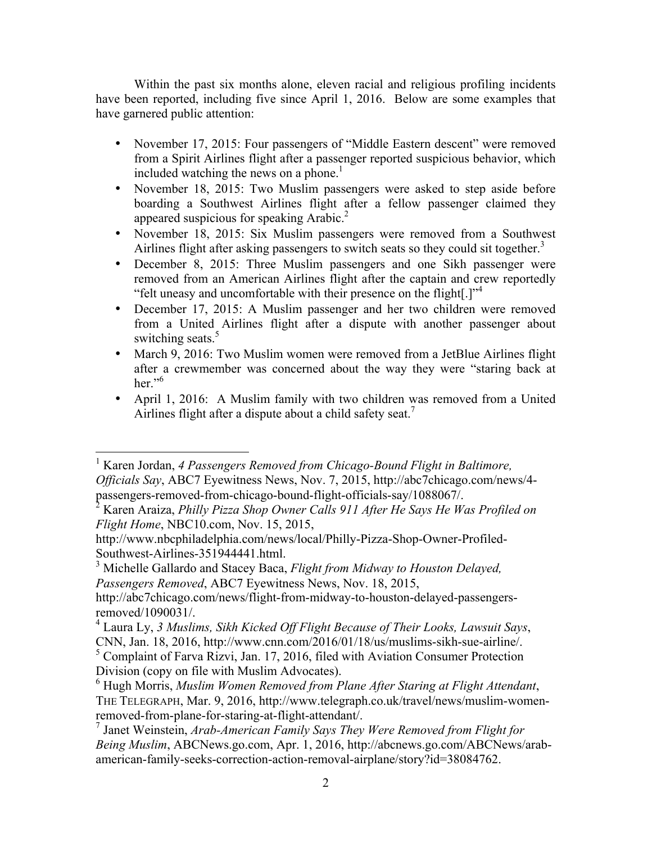Within the past six months alone, eleven racial and religious profiling incidents have been reported, including five since April 1, 2016. Below are some examples that have garnered public attention:

- November 17, 2015: Four passengers of "Middle Eastern descent" were removed from a Spirit Airlines flight after a passenger reported suspicious behavior, which included watching the news on a phone.<sup>1</sup>
- November 18, 2015: Two Muslim passengers were asked to step aside before boarding a Southwest Airlines flight after a fellow passenger claimed they appeared suspicious for speaking Arabic.<sup>2</sup>
- November 18, 2015: Six Muslim passengers were removed from a Southwest Airlines flight after asking passengers to switch seats so they could sit together. 3
- December 8, 2015: Three Muslim passengers and one Sikh passenger were removed from an American Airlines flight after the captain and crew reportedly "felt uneasy and uncomfortable with their presence on the flight[.]"<sup>4</sup>
- December 17, 2015: A Muslim passenger and her two children were removed from a United Airlines flight after a dispute with another passenger about switching seats.<sup>5</sup>
- March 9, 2016: Two Muslim women were removed from a JetBlue Airlines flight after a crewmember was concerned about the way they were "staring back at her." $6$
- April 1, 2016: A Muslim family with two children was removed from a United Airlines flight after a dispute about a child safety seat.<sup>7</sup>

<sup>&</sup>lt;sup>1</sup> Karen Jordan, 4 Passengers Removed from Chicago-Bound Flight in Baltimore, *Officials Say*, ABC7 Eyewitness News, Nov. 7, 2015, http://abc7chicago.com/news/4-<br>passengers-removed-from-chicago-bound-flight-officials-say/1088067/.

Karen Araiza, Philly Pizza Shop Owner Calls 911 After He Says He Was Profiled on *Flight Home*, NBC10.com, Nov. 15, 2015,

http://www.nbcphiladelphia.com/news/local/Philly-Pizza-Shop-Owner-Profiled-

<sup>&</sup>lt;sup>3</sup> Michelle Gallardo and Stacey Baca, *Flight from Midway to Houston Delayed*, *Passengers Removed*, ABC7 Eyewitness News, Nov. 18, 2015,

http://abc7chicago.com/news/flight-from-midway-to-houston-delayed-passengers-

removed/1090031/. 4 Laura Ly, *3 Muslims, Sikh Kicked Off Flight Because of Their Looks, Lawsuit Says*,

 $<sup>5</sup>$  Complaint of Farva Rizvi, Jan. 17, 2016, filed with Aviation Consumer Protection</sup> Division (copy on file with Muslim Advocates).

<sup>6</sup> Hugh Morris, *Muslim Women Removed from Plane After Staring at Flight Attendant*, THE TELEGRAPH, Mar. 9, 2016, http://www.telegraph.co.uk/travel/news/muslim-womenremoved-from-plane-for-staring-at-flight-attendant/. 7 Janet Weinstein, *Arab-American Family Says They Were Removed from Flight for* 

*Being Muslim*, ABCNews.go.com, Apr. 1, 2016, http://abcnews.go.com/ABCNews/arabamerican-family-seeks-correction-action-removal-airplane/story?id=38084762.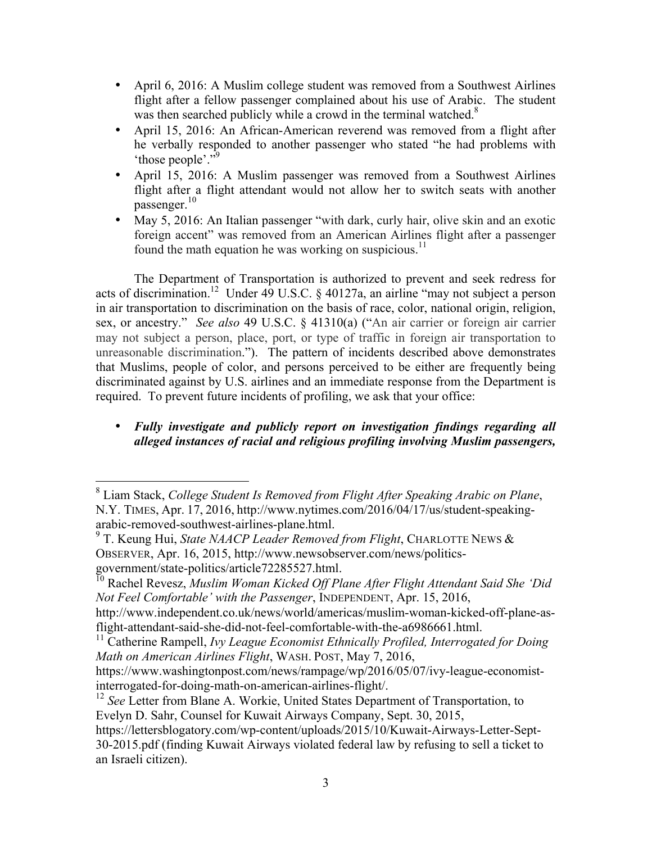- April 6, 2016: A Muslim college student was removed from a Southwest Airlines flight after a fellow passenger complained about his use of Arabic. The student was then searched publicly while a crowd in the terminal watched.<sup>8</sup>
- April 15, 2016: An African-American reverend was removed from a flight after he verbally responded to another passenger who stated "he had problems with 'those people'."9
- April 15, 2016: A Muslim passenger was removed from a Southwest Airlines flight after a flight attendant would not allow her to switch seats with another passenger.<sup>10</sup>
- May 5, 2016: An Italian passenger "with dark, curly hair, olive skin and an exotic foreign accent" was removed from an American Airlines flight after a passenger found the math equation he was working on suspicious.<sup>11</sup>

The Department of Transportation is authorized to prevent and seek redress for acts of discrimination.<sup>12</sup> Under  $\overline{49}$  U.S.C. § 40127a, an airline "may not subject a person in air transportation to discrimination on the basis of race, color, national origin, religion, sex, or ancestry." *See also* 49 U.S.C. § 41310(a) ("An air carrier or foreign air carrier may not subject a person, place, port, or type of traffic in foreign air transportation to unreasonable discrimination."). The pattern of incidents described above demonstrates that Muslims, people of color, and persons perceived to be either are frequently being discriminated against by U.S. airlines and an immediate response from the Department is required. To prevent future incidents of profiling, we ask that your office:

## • *Fully investigate and publicly report on investigation findings regarding all alleged instances of racial and religious profiling involving Muslim passengers,*

 <sup>8</sup> Liam Stack, *College Student Is Removed from Flight After Speaking Arabic on Plane*, N.Y. TIMES, Apr. 17, 2016, http://www.nytimes.com/2016/04/17/us/student-speakingarabic-removed-southwest-airlines-plane.html. 9 T. Keung Hui, *State NAACP Leader Removed from Flight*, CHARLOTTE NEWS &

OBSERVER, Apr. 16, 2015, http://www.newsobserver.com/news/politics-

government-state-politics<br><sup>10</sup> Rachel Revesz, *Muslim Woman Kicked Off Plane After Flight Attendant Said She 'Did Not Feel Comfortable' with the Passenger*, INDEPENDENT, Apr. 15, 2016,

http://www.independent.co.uk/news/world/americas/muslim-woman-kicked-off-plane-asflight-attendant-said-she-did-not-feel-comfortable-with-the-a6986661.html. <sup>11</sup> Catherine Rampell, *Ivy League Economist Ethnically Profiled, Interrogated for Doing* 

*Math on American Airlines Flight*, WASH. POST, May 7, 2016,

https://www.washingtonpost.com/news/rampage/wp/2016/05/07/ivy-league-economist-<br>interrogated-for-doing-math-on-american-airlines-flight/.

<sup>&</sup>lt;sup>12</sup> See Letter from Blane A. Workie, United States Department of Transportation, to Evelyn D. Sahr, Counsel for Kuwait Airways Company, Sept. 30, 2015,

https://lettersblogatory.com/wp-content/uploads/2015/10/Kuwait-Airways-Letter-Sept-30-2015.pdf (finding Kuwait Airways violated federal law by refusing to sell a ticket to an Israeli citizen).